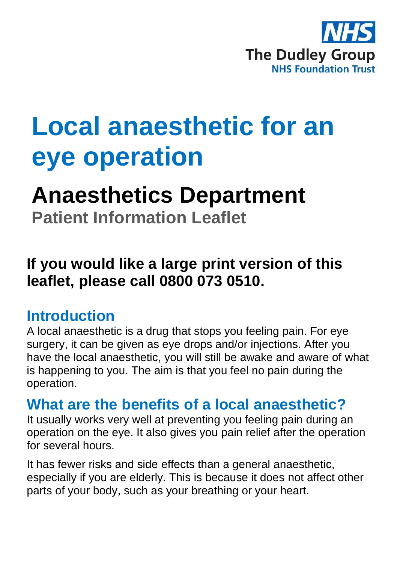

# **Local anaesthetic for an eye operation**

## **Anaesthetics Department**

**Patient Information Leaflet**

### **If you would like a large print version of this leaflet, please call 0800 073 0510.**

### **Introduction**

A local anaesthetic is a drug that stops you feeling pain. For eye surgery, it can be given as eye drops and/or injections. After you have the local anaesthetic, you will still be awake and aware of what is happening to you. The aim is that you feel no pain during the operation.

### **What are the benefits of a local anaesthetic?**

It usually works very well at preventing you feeling pain during an operation on the eye. It also gives you pain relief after the operation for several hours.

It has fewer risks and side effects than a general anaesthetic, especially if you are elderly. This is because it does not affect other parts of your body, such as your breathing or your heart.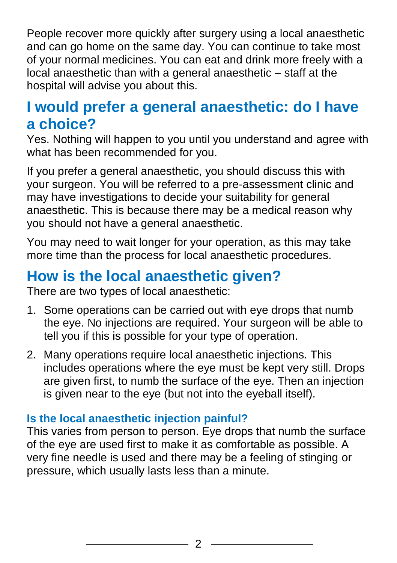People recover more quickly after surgery using a local anaesthetic and can go home on the same day. You can continue to take most of your normal medicines. You can eat and drink more freely with a local anaesthetic than with a general anaesthetic – staff at the hospital will advise you about this.

### **I would prefer a general anaesthetic: do I have a choice?**

Yes. Nothing will happen to you until you understand and agree with what has been recommended for you.

If you prefer a general anaesthetic, you should discuss this with your surgeon. You will be referred to a pre-assessment clinic and may have investigations to decide your suitability for general anaesthetic. This is because there may be a medical reason why you should not have a general anaesthetic.

You may need to wait longer for your operation, as this may take more time than the process for local anaesthetic procedures.

### **How is the local anaesthetic given?**

There are two types of local anaesthetic:

- 1. Some operations can be carried out with eye drops that numb the eye. No injections are required. Your surgeon will be able to tell you if this is possible for your type of operation.
- 2. Many operations require local anaesthetic injections. This includes operations where the eye must be kept very still. Drops are given first, to numb the surface of the eye. Then an injection is given near to the eye (but not into the eyeball itself).

#### **Is the local anaesthetic injection painful?**

This varies from person to person. Eye drops that numb the surface of the eye are used first to make it as comfortable as possible. A very fine needle is used and there may be a feeling of stinging or pressure, which usually lasts less than a minute.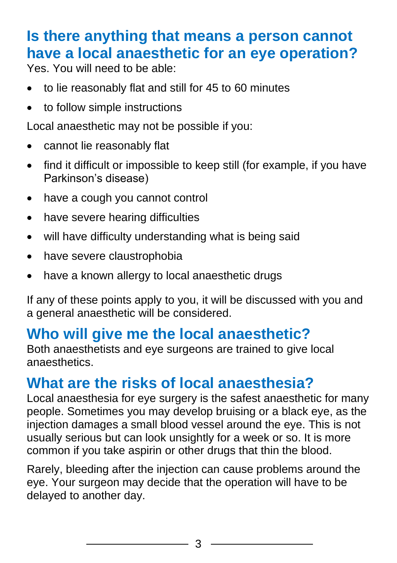### **Is there anything that means a person cannot have a local anaesthetic for an eye operation?**

Yes. You will need to be able:

- to lie reasonably flat and still for 45 to 60 minutes
- to follow simple instructions

Local anaesthetic may not be possible if you:

- cannot lie reasonably flat
- find it difficult or impossible to keep still (for example, if you have Parkinson's disease)
- have a cough you cannot control
- have severe hearing difficulties
- will have difficulty understanding what is being said
- have severe claustrophobia
- have a known allergy to local anaesthetic drugs

If any of these points apply to you, it will be discussed with you and a general anaesthetic will be considered.

### **Who will give me the local anaesthetic?**

Both anaesthetists and eye surgeons are trained to give local anaesthetics.

### **What are the risks of local anaesthesia?**

Local anaesthesia for eye surgery is the safest anaesthetic for many people. Sometimes you may develop bruising or a black eye, as the injection damages a small blood vessel around the eye. This is not usually serious but can look unsightly for a week or so. It is more common if you take aspirin or other drugs that thin the blood.

Rarely, bleeding after the injection can cause problems around the eye. Your surgeon may decide that the operation will have to be delayed to another day.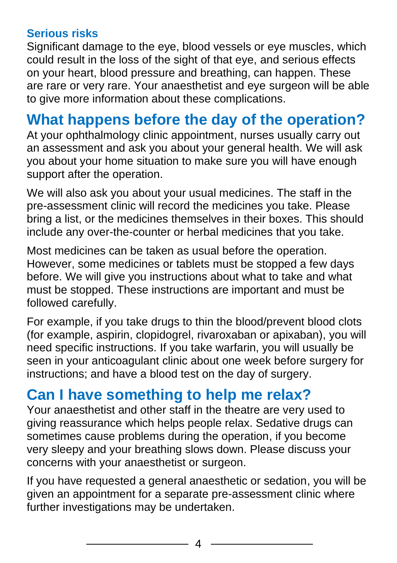#### **Serious risks**

Significant damage to the eye, blood vessels or eye muscles, which could result in the loss of the sight of that eye, and serious effects on your heart, blood pressure and breathing, can happen. These are rare or very rare. Your anaesthetist and eye surgeon will be able to give more information about these complications.

### **What happens before the day of the operation?**

At your ophthalmology clinic appointment, nurses usually carry out an assessment and ask you about your general health. We will ask you about your home situation to make sure you will have enough support after the operation.

We will also ask you about your usual medicines. The staff in the pre-assessment clinic will record the medicines you take. Please bring a list, or the medicines themselves in their boxes. This should include any over-the-counter or herbal medicines that you take.

Most medicines can be taken as usual before the operation. However, some medicines or tablets must be stopped a few days before. We will give you instructions about what to take and what must be stopped. These instructions are important and must be followed carefully.

For example, if you take drugs to thin the blood/prevent blood clots (for example, aspirin, clopidogrel, rivaroxaban or apixaban), you will need specific instructions. If you take warfarin, you will usually be seen in your anticoagulant clinic about one week before surgery for instructions; and have a blood test on the day of surgery.

### **Can I have something to help me relax?**

Your anaesthetist and other staff in the theatre are very used to giving reassurance which helps people relax. Sedative drugs can sometimes cause problems during the operation, if you become very sleepy and your breathing slows down. Please discuss your concerns with your anaesthetist or surgeon.

If you have requested a general anaesthetic or sedation, you will be given an appointment for a separate pre-assessment clinic where further investigations may be undertaken.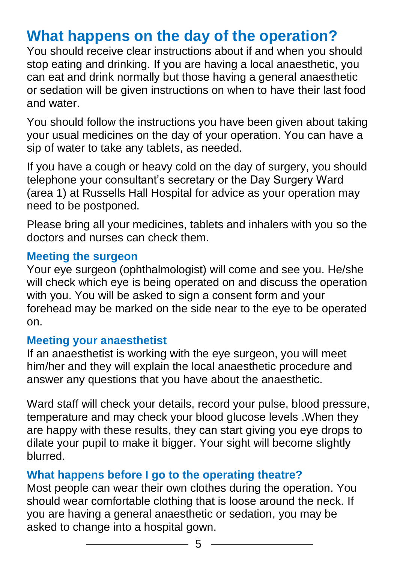### **What happens on the day of the operation?**

You should receive clear instructions about if and when you should stop eating and drinking. If you are having a local anaesthetic, you can eat and drink normally but those having a general anaesthetic or sedation will be given instructions on when to have their last food and water.

You should follow the instructions you have been given about taking your usual medicines on the day of your operation. You can have a sip of water to take any tablets, as needed.

If you have a cough or heavy cold on the day of surgery, you should telephone your consultant's secretary or the Day Surgery Ward (area 1) at Russells Hall Hospital for advice as your operation may need to be postponed.

Please bring all your medicines, tablets and inhalers with you so the doctors and nurses can check them.

#### **Meeting the surgeon**

Your eye surgeon (ophthalmologist) will come and see you. He/she will check which eye is being operated on and discuss the operation with you. You will be asked to sign a consent form and your forehead may be marked on the side near to the eye to be operated on.

#### **Meeting your anaesthetist**

If an anaesthetist is working with the eye surgeon, you will meet him/her and they will explain the local anaesthetic procedure and answer any questions that you have about the anaesthetic.

Ward staff will check your details, record your pulse, blood pressure, temperature and may check your blood glucose levels .When they are happy with these results, they can start giving you eye drops to dilate your pupil to make it bigger. Your sight will become slightly blurred.

#### **What happens before I go to the operating theatre?**

Most people can wear their own clothes during the operation. You should wear comfortable clothing that is loose around the neck. If you are having a general anaesthetic or sedation, you may be asked to change into a hospital gown.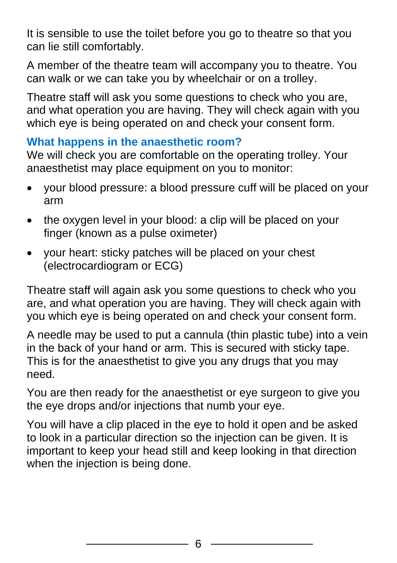It is sensible to use the toilet before you go to theatre so that you can lie still comfortably.

A member of the theatre team will accompany you to theatre. You can walk or we can take you by wheelchair or on a trolley.

Theatre staff will ask you some questions to check who you are, and what operation you are having. They will check again with you which eye is being operated on and check your consent form.

#### **What happens in the anaesthetic room?**

We will check you are comfortable on the operating trolley. Your anaesthetist may place equipment on you to monitor:

- your blood pressure: a blood pressure cuff will be placed on your arm
- the oxygen level in your blood: a clip will be placed on your finger (known as a pulse oximeter)
- your heart: sticky patches will be placed on your chest (electrocardiogram or ECG)

Theatre staff will again ask you some questions to check who you are, and what operation you are having. They will check again with you which eye is being operated on and check your consent form.

A needle may be used to put a cannula (thin plastic tube) into a vein in the back of your hand or arm. This is secured with sticky tape. This is for the anaesthetist to give you any drugs that you may need.

You are then ready for the anaesthetist or eye surgeon to give you the eye drops and/or injections that numb your eye.

You will have a clip placed in the eye to hold it open and be asked to look in a particular direction so the injection can be given. It is important to keep your head still and keep looking in that direction when the injection is being done.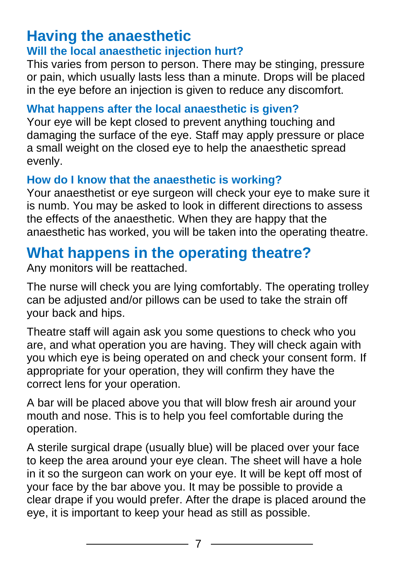### **Having the anaesthetic**

#### **Will the local anaesthetic injection hurt?**

This varies from person to person. There may be stinging, pressure or pain, which usually lasts less than a minute. Drops will be placed in the eye before an injection is given to reduce any discomfort.

#### **What happens after the local anaesthetic is given?**

Your eye will be kept closed to prevent anything touching and damaging the surface of the eye. Staff may apply pressure or place a small weight on the closed eye to help the anaesthetic spread evenly.

#### **How do I know that the anaesthetic is working?**

Your anaesthetist or eye surgeon will check your eye to make sure it is numb. You may be asked to look in different directions to assess the effects of the anaesthetic. When they are happy that the anaesthetic has worked, you will be taken into the operating theatre.

### **What happens in the operating theatre?**

Any monitors will be reattached.

The nurse will check you are lying comfortably. The operating trolley can be adjusted and/or pillows can be used to take the strain off your back and hips.

Theatre staff will again ask you some questions to check who you are, and what operation you are having. They will check again with you which eye is being operated on and check your consent form. If appropriate for your operation, they will confirm they have the correct lens for your operation.

A bar will be placed above you that will blow fresh air around your mouth and nose. This is to help you feel comfortable during the operation.

A sterile surgical drape (usually blue) will be placed over your face to keep the area around your eye clean. The sheet will have a hole in it so the surgeon can work on your eye. It will be kept off most of your face by the bar above you. It may be possible to provide a clear drape if you would prefer. After the drape is placed around the eye, it is important to keep your head as still as possible.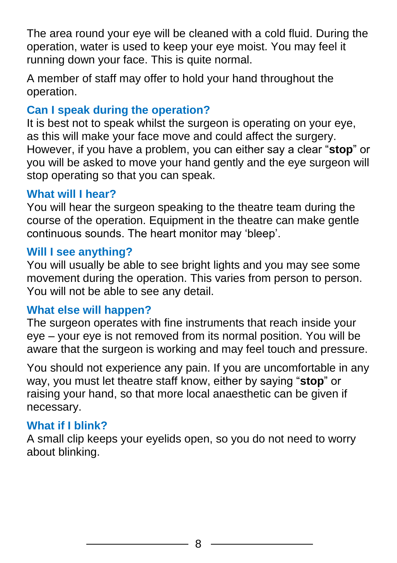The area round your eye will be cleaned with a cold fluid. During the operation, water is used to keep your eye moist. You may feel it running down your face. This is quite normal.

A member of staff may offer to hold your hand throughout the operation.

#### **Can I speak during the operation?**

It is best not to speak whilst the surgeon is operating on your eye, as this will make your face move and could affect the surgery. However, if you have a problem, you can either say a clear "**stop**" or you will be asked to move your hand gently and the eye surgeon will stop operating so that you can speak.

#### **What will I hear?**

You will hear the surgeon speaking to the theatre team during the course of the operation. Equipment in the theatre can make gentle continuous sounds. The heart monitor may 'bleep'.

#### **Will I see anything?**

You will usually be able to see bright lights and you may see some movement during the operation. This varies from person to person. You will not be able to see any detail.

#### **What else will happen?**

The surgeon operates with fine instruments that reach inside your eye – your eye is not removed from its normal position. You will be aware that the surgeon is working and may feel touch and pressure.

You should not experience any pain. If you are uncomfortable in any way, you must let theatre staff know, either by saying "**stop**" or raising your hand, so that more local anaesthetic can be given if necessary.

#### **What if I blink?**

A small clip keeps your eyelids open, so you do not need to worry about blinking.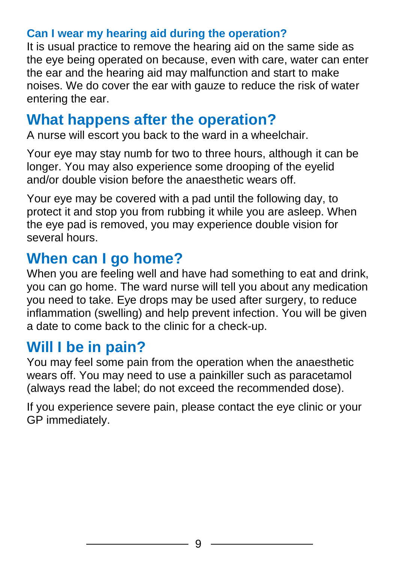#### **Can I wear my hearing aid during the operation?**

It is usual practice to remove the hearing aid on the same side as the eye being operated on because, even with care, water can enter the ear and the hearing aid may malfunction and start to make noises. We do cover the ear with gauze to reduce the risk of water entering the ear.

### **What happens after the operation?**

A nurse will escort you back to the ward in a wheelchair.

Your eye may stay numb for two to three hours, although it can be longer. You may also experience some drooping of the eyelid and/or double vision before the anaesthetic wears off.

Your eye may be covered with a pad until the following day, to protect it and stop you from rubbing it while you are asleep. When the eye pad is removed, you may experience double vision for several hours.

### **When can I go home?**

When you are feeling well and have had something to eat and drink, you can go home. The ward nurse will tell you about any medication you need to take. Eye drops may be used after surgery, to reduce inflammation (swelling) and help prevent infection. You will be given a date to come back to the clinic for a check-up.

### **Will I be in pain?**

You may feel some pain from the operation when the anaesthetic wears off. You may need to use a painkiller such as paracetamol (always read the label; do not exceed the recommended dose).

If you experience severe pain, please contact the eye clinic or your GP immediately.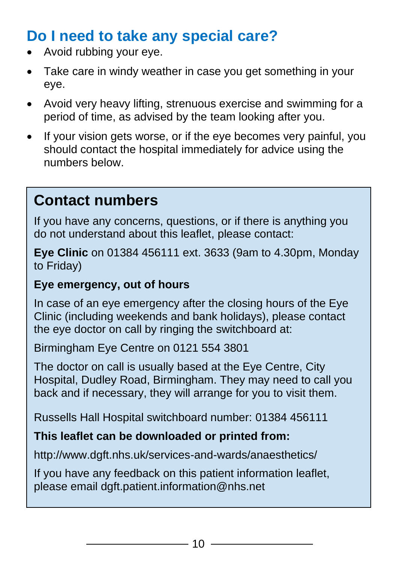### **Do I need to take any special care?**

- Avoid rubbing your eye.
- Take care in windy weather in case you get something in your eye.
- Avoid very heavy lifting, strenuous exercise and swimming for a period of time, as advised by the team looking after you.
- If your vision gets worse, or if the eye becomes very painful, you should contact the hospital immediately for advice using the numbers below.

### **Contact numbers**

If you have any concerns, questions, or if there is anything you do not understand about this leaflet, please contact:

**Eye Clinic** on 01384 456111 ext. 3633 (9am to 4.30pm, Monday to Friday)

#### **Eye emergency, out of hours**

In case of an eye emergency after the closing hours of the Eye Clinic (including weekends and bank holidays), please contact the eye doctor on call by ringing the switchboard at:

Birmingham Eye Centre on 0121 554 3801

The doctor on call is usually based at the Eye Centre, City Hospital, Dudley Road, Birmingham. They may need to call you back and if necessary, they will arrange for you to visit them.

Russells Hall Hospital switchboard number: 01384 456111

#### **This leaflet can be downloaded or printed from:**

http://www.dgft.nhs.uk/services-and-wards/anaesthetics/

If you have any feedback on this patient information leaflet, please email dgft.patient.information@nhs.net